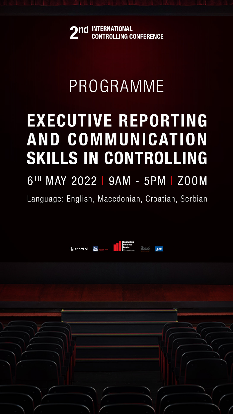

# PROGRAMME

# **EXECUTIVE REPORTING** AND COMMUNICATION SKILLS IN CONTROLLING 6TH MAY 2022 | 9AM - 5PM | ZOOM

# Language: English, Macedonian, Croatian, Serbian





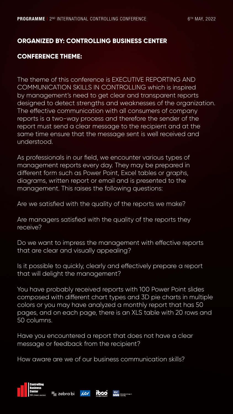# **ORGANIZED BY: CONTROLLING BUSINESS CENTER**

# **CONFERENCE THEME:**

The theme of this conference is EXECUTIVE REPORTING AND COMMUNICATION SKILLS IN CONTROLLING which is inspired by management's need to get clear and transparent reports designed to detect strengths and weaknesses of the organization. The effective communication with all consumers of company reports is a two-way process and therefore the sender of the report must send a clear message to the recipient and at the same time ensure that the message sent is well received and understood.

As professionals in our field, we encounter various types of management reports every day. They may be prepared in different form such as Power Point, Excel tables or graphs, diagrams, written report or email and is presented to the management. This raises the following questions:

Are we satisfied with the quality of the reports we make?

Are managers satisfied with the quality of the reports they receive?

Do we want to impress the management with effective reports that are clear and visually appealing?

Is it possible to quickly, clearly and effectively prepare a report that will delight the management?

You have probably received reports with 100 Power Point slides composed with different chart types and 3D pie charts in multiple colors or you may have analyzed a monthly report that has 50 pages, and on each page, there is an XLS table with 20 rows and 50 columns.

Have you encountered a report that does not have a clear message or feedback from the recipient?

How aware are we of our business communication skills?

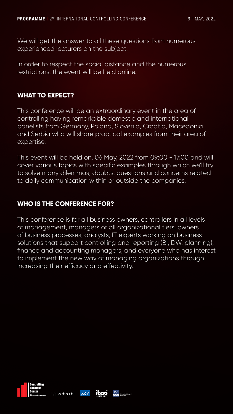We will get the answer to all these questions from numerous experienced lecturers on the subject.

In order to respect the social distance and the numerous restrictions, the event will be held online.

## **WHAT TO EXPECT?**

This conference will be an extraordinary event in the area of controlling having remarkable domestic and international panelists from Germany, Poland, Slovenia, Croatia, Macedonia and Serbia who will share practical examples from their area of expertise.

This event will be held on, 06 May, 2022 from 09:00 - 17:00 and will cover various topics with specific examples through which we'll try to solve many dilemmas, doubts, questions and concerns related to daily communication within or outside the companies.

# **WHO IS THE CONFERENCE FOR?**

This conference is for all business owners, controllers in all levels of management, managers of all organizational tiers, owners of business processes, analysts, IT experts working on business solutions that support controlling and reporting (BI, DW, planning), finance and accounting managers, and everyone who has interest to implement the new way of managing organizations through increasing their efficacy and effectivity.

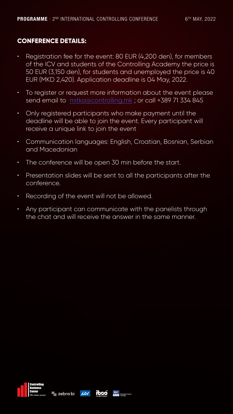# **CONFERENCE DETAILS:**

- Registration fee for the event: 80 EUR (4,200 den), for members of the ICV and students of the Controlling Academy the price is 50 EUR (3,150 den), for students and unemployed the price is 40 EUR (MKD 2,420). Application deadline is 04 May, 2022.
- To register or request more information about the event please send email to [mitka@controlling.mk](mailto:mitka%40controlling.mk?subject=); or call +389 71 334 845
- Only registered participants who make payment until the deadline will be able to join the event. Every participant will receive a unique link to join the event
- Communication languages: English, Croatian, Bosnian, Serbian and Macedonian
- The conference will be open 30 min before the start.
- Presentation slides will be sent to all the participants after the conference.
	-
- Recording of the event will not be allowed.
- Any participant can communicate with the panelists through the chat and will receive the answer in the same manner.

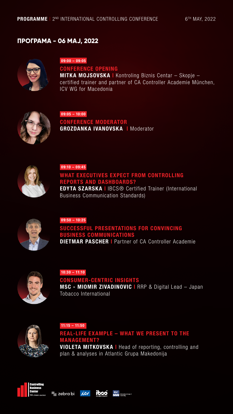# **ПРОГРАМА - 06 МАЈ, 2022**



09:10 – 09:45

#### WHAT EXECUTIVES EXPECT FROM CONTROLLING REPORTS AND DASHBOARDS?

EDYTA SZARSKA | IBCS® Certified Trainer (International Business Communication Standards)



VIOLETA MITKOVSKA | Head of reporting, controlling and plan & analyses in Atlantic Grupa Makedonija



## SUCCESSFUL PRESENTATIONS FOR CONVINCING BUSINESS COMMUNICATIONS **DIETMAR PASCHER | Partner of CA Controller Academie**



#### 11:15 – 11:50

CONFERENCE MODERATOR GROZDANKA IVANOVSKA | Moderator



## REAL-LIFE EXAMPLE – WHAT WE PRESENT TO THE MANAGEMENT?

09:50 – 10:25

09:05 – 10:00

10:30 – 11:10

#### CONSUMER-CENTRIC INSIGHTS

MSC - MIOMIR ZIVADINOVIC | RRP & Digital Lead – Japan Tobacco International



09:00 – 09:05

#### CONFERENCE OPENING

MITKA MOJSOVSKA | Kontroling Biznis Centar – Skopje – certified trainer and partner of CA Controller Academie München, ICV WG for Macedonia